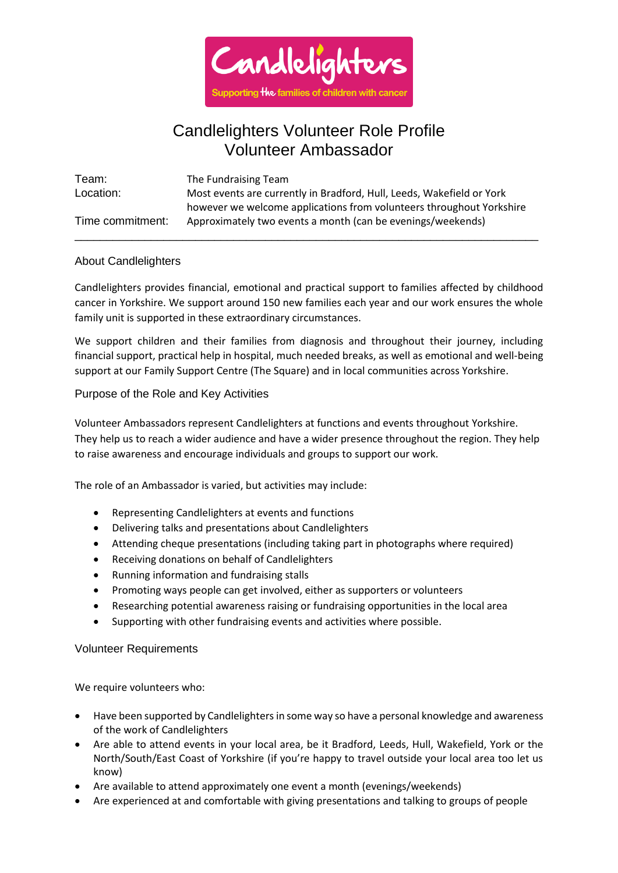

# Candlelighters Volunteer Role Profile Volunteer Ambassador

| Team:            | The Fundraising Team                                                  |
|------------------|-----------------------------------------------------------------------|
| Location:        | Most events are currently in Bradford, Hull, Leeds, Wakefield or York |
|                  | however we welcome applications from volunteers throughout Yorkshire  |
| Time commitment: | Approximately two events a month (can be evenings/weekends)           |

\_\_\_\_\_\_\_\_\_\_\_\_\_\_\_\_\_\_\_\_\_\_\_\_\_\_\_\_\_\_\_\_\_\_\_\_\_\_\_\_\_\_\_\_\_\_\_\_\_\_\_\_\_\_\_\_\_\_\_\_\_\_\_\_\_\_\_\_\_\_\_\_\_

## About Candlelighters

Candlelighters provides financial, emotional and practical support to families affected by childhood cancer in Yorkshire. We support around 150 new families each year and our work ensures the whole family unit is supported in these extraordinary circumstances.

We support children and their families from diagnosis and throughout their journey, including financial support, practical help in hospital, much needed breaks, as well as emotional and well-being support at our Family Support Centre (The Square) and in local communities across Yorkshire.

## Purpose of the Role and Key Activities

Volunteer Ambassadors represent Candlelighters at functions and events throughout Yorkshire. They help us to reach a wider audience and have a wider presence throughout the region. They help to raise awareness and encourage individuals and groups to support our work.

The role of an Ambassador is varied, but activities may include:

- Representing Candlelighters at events and functions
- Delivering talks and presentations about Candlelighters
- Attending cheque presentations (including taking part in photographs where required)
- Receiving donations on behalf of Candlelighters
- Running information and fundraising stalls
- Promoting ways people can get involved, either as supporters or volunteers
- Researching potential awareness raising or fundraising opportunities in the local area
- Supporting with other fundraising events and activities where possible.

#### Volunteer Requirements

We require volunteers who:

- Have been supported by Candlelighters in some way so have a personal knowledge and awareness of the work of Candlelighters
- Are able to attend events in your local area, be it Bradford, Leeds, Hull, Wakefield, York or the North/South/East Coast of Yorkshire (if you're happy to travel outside your local area too let us know)
- Are available to attend approximately one event a month (evenings/weekends)
- Are experienced at and comfortable with giving presentations and talking to groups of people